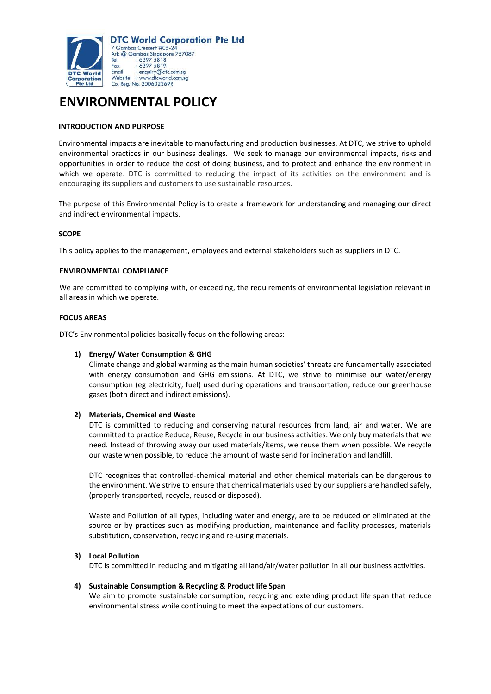

# **ENVIRONMENTAL POLICY**

# **INTRODUCTION AND PURPOSE**

Environmental impacts are inevitable to manufacturing and production businesses. At DTC, we strive to uphold environmental practices in our business dealings. We seek to manage our environmental impacts, risks and opportunities in order to reduce the cost of doing business, and to protect and enhance the environment in which we operate. DTC is committed to reducing the impact of its activities on the environment and is encouraging its suppliers and customers to use sustainable resources.

The purpose of this Environmental Policy is to create a framework for understanding and managing our direct and indirect environmental impacts.

#### **SCOPE**

This policy applies to the management, employees and external stakeholders such as suppliers in DTC.

#### **ENVIRONMENTAL COMPLIANCE**

We are committed to complying with, or exceeding, the requirements of environmental legislation relevant in all areas in which we operate.

#### **FOCUS AREAS**

DTC's Environmental policies basically focus on the following areas:

# **1) Energy/ Water Consumption & GHG**

Climate change and global warming as the main human societies' threats are fundamentally associated with energy consumption and GHG emissions. At DTC, we strive to minimise our water/energy consumption (eg electricity, fuel) used during operations and transportation, reduce our greenhouse gases (both direct and indirect emissions).

#### **2) Materials, Chemical and Waste**

DTC is committed to reducing and conserving natural resources from land, air and water. We are committed to practice Reduce, Reuse, Recycle in our business activities. We only buy materials that we need. Instead of throwing away our used materials/items, we reuse them when possible. We recycle our waste when possible, to reduce the amount of waste send for incineration and landfill.

DTC recognizes that controlled-chemical material and other chemical materials can be dangerous to the environment. We strive to ensure that chemical materials used by our suppliers are handled safely, (properly transported, recycle, reused or disposed).

Waste and Pollution of all types, including water and energy, are to be reduced or eliminated at the source or by practices such as modifying production, maintenance and facility processes, materials substitution, conservation, recycling and re-using materials.

# **3) Local Pollution**

DTC is committed in reducing and mitigating all land/air/water pollution in all our business activities.

#### **4) Sustainable Consumption & Recycling & Product life Span**

We aim to promote sustainable consumption, recycling and extending product life span that reduce environmental stress while continuing to meet the expectations of our customers.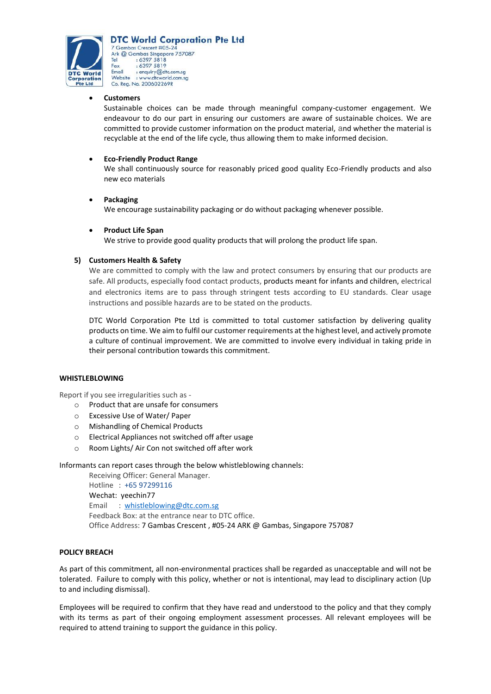

**DTC World Corporation Pte Ltd** 7 Gambas Crescent #05-24 Ark @ Gambas Singapore 757087  $: 63975818$ <br> $: 63975819$ Tel Fax Email : enquiry@dtc.com.sg : www.dtcworld.com.sg Website Co. Reg. No. 200602269R

# x **Customers**

Sustainable choices can be made through meaningful company-customer engagement. We endeavour to do our part in ensuring our customers are aware of sustainable choices. We are committed to provide customer information on the product material, and whether the material is recyclable at the end of the life cycle, thus allowing them to make informed decision.

# **Eco-Friendly Product Range**

We shall continuously source for reasonably priced good quality Eco-Friendly products and also new eco materials

# **Packaging**

We encourage sustainability packaging or do without packaging whenever possible.

# x **Product Life Span**

We strive to provide good quality products that will prolong the product life span.

# **5) Customers Health & Safety**

We are committed to comply with the law and protect consumers by ensuring that our products are safe. All products, especially food contact products, products meant for infants and children, electrical and electronics items are to pass through stringent tests according to EU standards. Clear usage instructions and possible hazards are to be stated on the products.

DTC World Corporation Pte Ltd is committed to total customer satisfaction by delivering quality products on time. We aim to fulfil our customer requirements at the highest level, and actively promote a culture of continual improvement. We are committed to involve every individual in taking pride in their personal contribution towards this commitment.

# **WHISTLEBLOWING**

Report if you see irregularities such as -

- o Product that are unsafe for consumers
- o Excessive Use of Water/ Paper
- o Mishandling of Chemical Products
- o Electrical Appliances not switched off after usage
- o Room Lights/ Air Con not switched off after work

Informants can report cases through the below whistleblowing channels:

Receiving Officer: General Manager. Hotline : +65 97299116 Wechat: yeechin77 Email : [whistleblowing@dtc.com.sg](mailto:whistleblowing@dtc.com.sg) Feedback Box: at the entrance near to DTC office. Office Address: 7 Gambas Crescent , #05-24 ARK @ Gambas, Singapore 757087

# **POLICY BREACH**

As part of this commitment, all non-environmental practices shall be regarded as unacceptable and will not be tolerated. Failure to comply with this policy, whether or not is intentional, may lead to disciplinary action (Up to and including dismissal).

Employees will be required to confirm that they have read and understood to the policy and that they comply with its terms as part of their ongoing employment assessment processes. All relevant employees will be required to attend training to support the guidance in this policy.